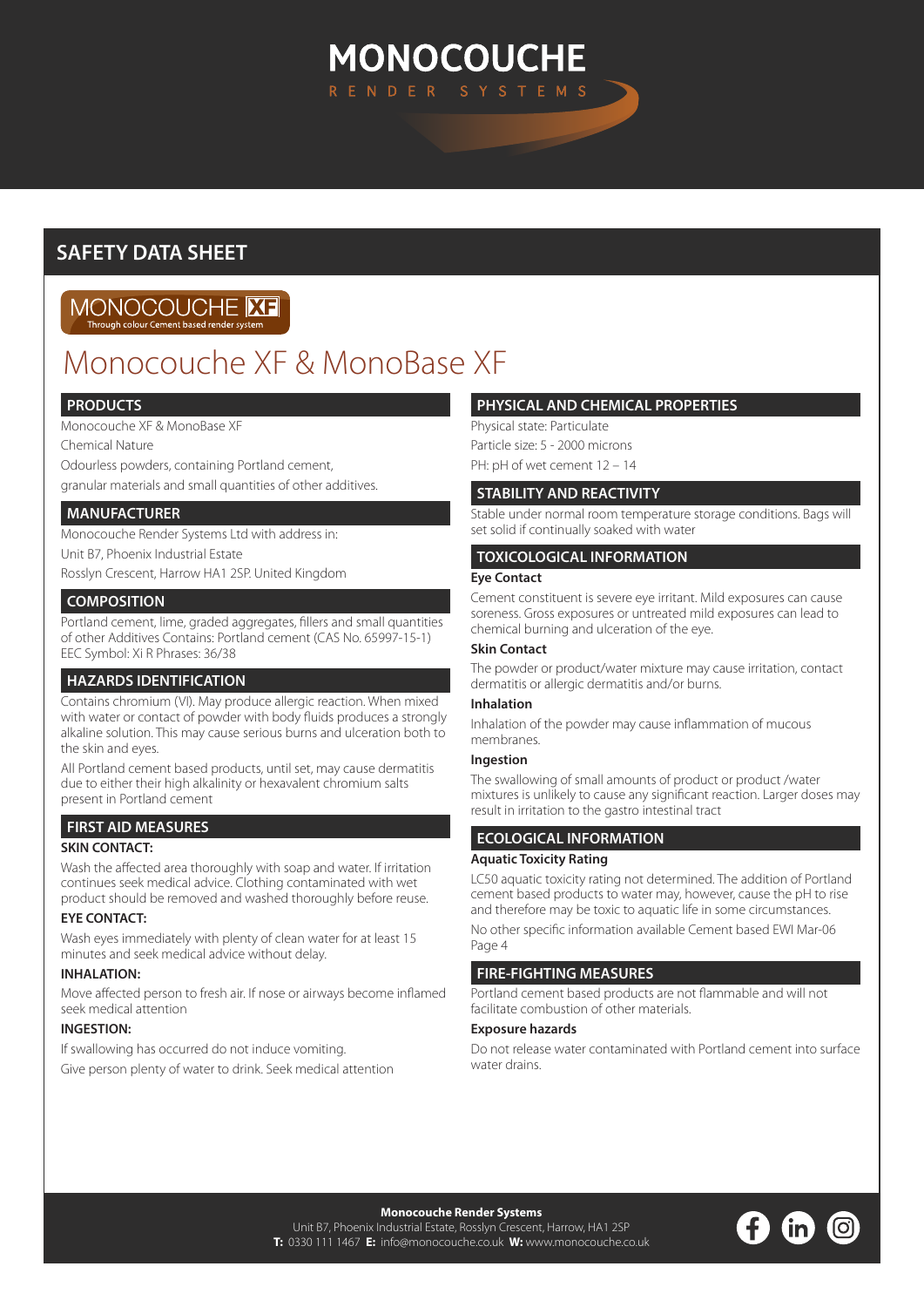# **MONOCOUCHE** RENDER SYSTEM

## **SAFETY DATA SHEET**

#### MONOCOUCHE **ME** Through colour Cement based re

# Monocouche XF & MonoBase XF

## **PRODUCTS**

Monocouche XF & MonoBase XF

Chemical Nature

Odourless powders, containing Portland cement,

granular materials and small quantities of other additives.

## **MANUFACTURER**

Monocouche Render Systems Ltd with address in:

Unit B7, Phoenix Industrial Estate

Rosslyn Crescent, Harrow HA1 2SP. United Kingdom

## **COMPOSITION**

Portland cement, lime, graded aggregates, fillers and small quantities of other Additives Contains: Portland cement (CAS No. 65997-15-1) EEC Symbol: Xi R Phrases: 36/38

## **HAZARDS IDENTIFICATION**

Contains chromium (VI). May produce allergic reaction. When mixed with water or contact of powder with body fluids produces a strongly alkaline solution. This may cause serious burns and ulceration both to the skin and eyes.

All Portland cement based products, until set, may cause dermatitis due to either their high alkalinity or hexavalent chromium salts present in Portland cement

## **FIRST AID MEASURES**

## **SKIN CONTACT:**

Wash the affected area thoroughly with soap and water. If irritation continues seek medical advice. Clothing contaminated with wet product should be removed and washed thoroughly before reuse.

## **EYE CONTACT:**

Wash eyes immediately with plenty of clean water for at least 15 minutes and seek medical advice without delay.

## **INHAI ATION:**

Move affected person to fresh air. If nose or airways become inflamed seek medical attention

## **INGESTION:**

If swallowing has occurred do not induce vomiting. Give person plenty of water to drink. Seek medical attention

## **PHYSICAL AND CHEMICAL PROPERTIES**

Physical state: Particulate

Particle size: 5 - 2000 microns

PH: pH of wet cement  $12 - 14$ 

## **STABILITY AND REACTIVITY**

Stable under normal room temperature storage conditions. Bags will set solid if continually soaked with water

## **TOXICOLOGICAL INFORMATION**

#### **Eye Contact**

Cement constituent is severe eye irritant. Mild exposures can cause soreness. Gross exposures or untreated mild exposures can lead to chemical burning and ulceration of the eye.

#### **Skin Contact**

The powder or product/water mixture may cause irritation, contact dermatitis or allergic dermatitis and/or burns.

#### **Inhalation**

Inhalation of the powder may cause inflammation of mucous membranes.

## **Ingestion**

The swallowing of small amounts of product or product /water mixtures is unlikely to cause any significant reaction. Larger doses may result in irritation to the gastro intestinal tract

## **ECOLOGICAL INFORMATION**

#### **Aquatic Toxicity Rating**

LC50 aquatic toxicity rating not determined. The addition of Portland cement based products to water may, however, cause the pH to rise and therefore may be toxic to aquatic life in some circumstances.

No other specific information available Cement based EWI Mar-06 Page 4

## **FIRE-FIGHTING MEASURES**

Portland cement based products are not flammable and will not facilitate combustion of other materials.

## **Exposure hazards**

Do not release water contaminated with Portland cement into surface water drains.

**Monocouche Render Systems**  Unit B7, Phoenix Industrial Estate, Rosslyn Crescent, Harrow, HA1 2SP **T:** 0330 111 1467 **E:** info@monocouche.co.uk **W:** www.monocouche.co.uk